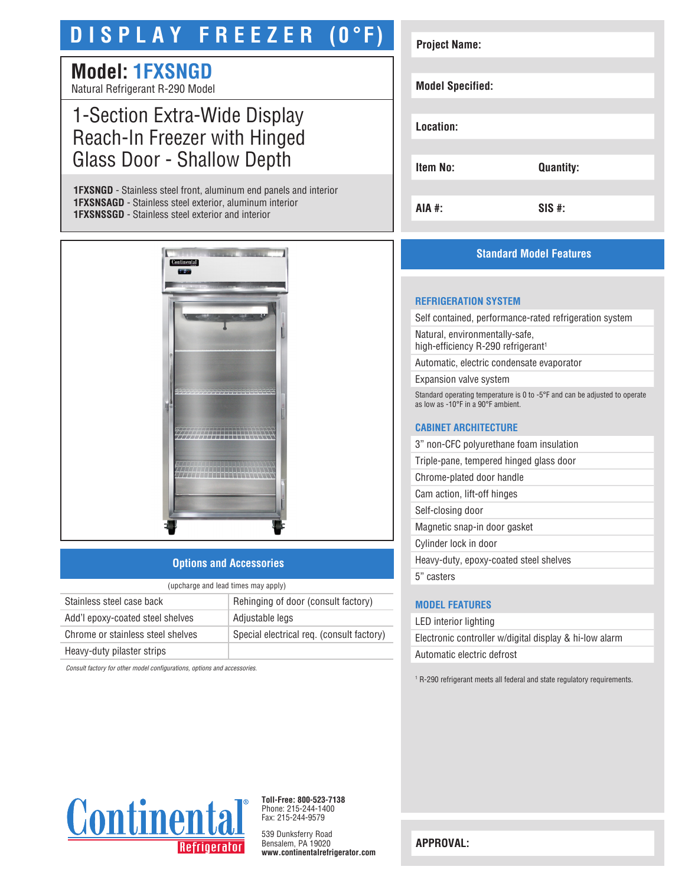# **D I S P L A Y F R E E Z E R (0°F)**

# **Model: 1FXSNGD**

Natural Refrigerant R-290 Model

# 1-Section Extra-Wide Display Reach-In Freezer with Hinged Glass Door - Shallow Depth

**1FXSNGD** - Stainless steel front, aluminum end panels and interior **1FXSNSAGD** - Stainless steel exterior, aluminum interior **1FXSNSSGD** - Stainless steel exterior and interior



# **Options and Accessories**

| (upcharge and lead times may apply) |                                           |  |
|-------------------------------------|-------------------------------------------|--|
| Stainless steel case back           | Rehinging of door (consult factory)       |  |
| Add'l epoxy-coated steel shelves    | Adjustable legs                           |  |
| Chrome or stainless steel shelves   | Special electrical req. (consult factory) |  |
| Heavy-duty pilaster strips          |                                           |  |

*Consult factory for other model configurations, options and accessories.*

| <b>Project Name:</b>    |                  |
|-------------------------|------------------|
|                         |                  |
| <b>Model Specified:</b> |                  |
|                         |                  |
| Location:               |                  |
|                         |                  |
| Item No:                | <b>Quantity:</b> |
|                         |                  |
| AIA #:                  | $SIS$ #:         |

# **Standard Model Features**

#### **REFRIGERATION SYSTEM**

Self contained, performance-rated refrigeration system

Natural, environmentally-safe, high-efficiency R-290 refrigerant<sup>1</sup>

Automatic, electric condensate evaporator

Expansion valve system

Standard operating temperature is 0 to -5°F and can be adjusted to operate as low as -10°F in a 90°F ambient.

### **CABINET ARCHITECTURE**

3" non-CFC polyurethane foam insulation

Triple-pane, tempered hinged glass door

Chrome-plated door handle

Cam action, lift-off hinges

Self-closing door Magnetic snap-in door gasket

Cylinder lock in door

Heavy-duty, epoxy-coated steel shelves

5" casters

## **MODEL FEATURES**

LED interior lighting Electronic controller w/digital display & hi-low alarm Automatic electric defrost

<sup>1</sup> R-290 refrigerant meets all federal and state regulatory requirements.



**Toll-Free: 800-523-7138** Phone: 215-244-1400 Fax: 215-244-9579

539 Dunksferry Road Bensalem, PA 19020 **www.continentalrefrigerator.com** 

**APPROVAL:**